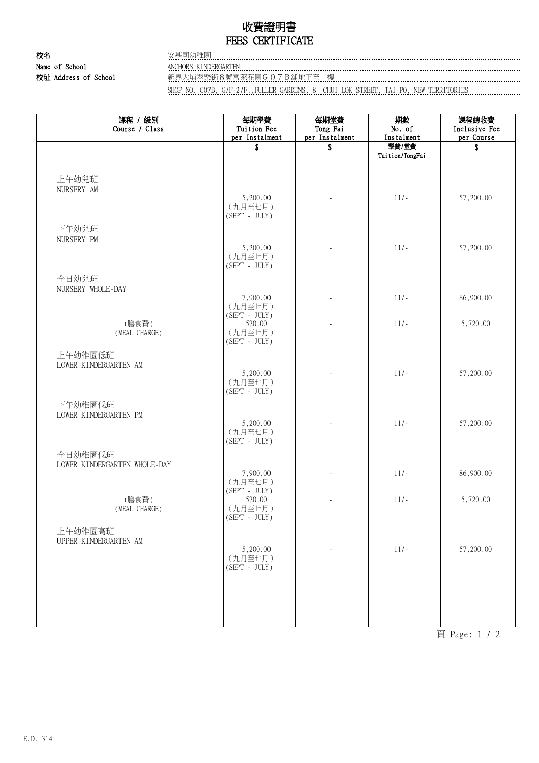## 收費證明書 FEES CERTIFICATE

校名 安基司幼稚園 Name of School ANCHORS KINDERGARTEN

校址 Address of School 新界大埔翠樂街8號富萊花園G07B舖地下至二樓 …………………………………………………………………………………………

SHOP NO. G07B, G/F-2/F.,FULLER GARDENS, 8 CHUI LOK STREET, TAI PO, NEW TERRITORIES

| 課程 / 級別<br>Course / Class        | 每期學費<br>Tuition Fee        | 每期堂費<br>Tong Fai     | 期數<br>No. of        | 課程總收費<br>Inclusive Fee |
|----------------------------------|----------------------------|----------------------|---------------------|------------------------|
|                                  | per Instalment<br>\$       | per Instalment<br>\$ | Instalment<br>學費/堂費 | per Course<br>\$       |
|                                  |                            |                      | Tuition/TongFai     |                        |
|                                  |                            |                      |                     |                        |
| 上午幼兒班                            |                            |                      |                     |                        |
| NURSERY AM                       | 5,200.00                   |                      | $11/-$              | 57,200.00              |
|                                  | (九月至七月)                    |                      |                     |                        |
|                                  | $(SEPT - JULY)$            |                      |                     |                        |
| 下午幼兒班<br>NURSERY PM              |                            |                      |                     |                        |
|                                  | 5,200.00                   | L.                   | $11/-$              | 57,200.00              |
|                                  | (九月至七月)<br>$(SEPT - JULY)$ |                      |                     |                        |
| 全日幼兒班                            |                            |                      |                     |                        |
| NURSERY WHOLE-DAY                |                            |                      |                     |                        |
|                                  | 7,900.00<br>(九月至七月)        |                      | $11/-$              | 86,900.00              |
|                                  | $(SEPT - JULY)$            |                      |                     |                        |
| (膳食費)<br>(MEAL CHARGE)           | 520.00<br>(九月至七月)          |                      | $11/-$              | 5,720.00               |
|                                  | $(SEPT - JULY)$            |                      |                     |                        |
| 上午幼稚園低班                          |                            |                      |                     |                        |
| LOWER KINDERGARTEN AM            | 5,200.00                   |                      | $11/-$              | 57,200.00              |
|                                  | (九月至七月)                    |                      |                     |                        |
|                                  | $(SEPT - JULY)$            |                      |                     |                        |
| 下午幼稚園低班<br>LOWER KINDERGARTEN PM |                            |                      |                     |                        |
|                                  | 5,200.00                   |                      | $11/-$              | 57,200.00              |
|                                  | (九月至七月)<br>$(SEPT - JULY)$ |                      |                     |                        |
| 全日幼稚園低班                          |                            |                      |                     |                        |
| LOWER KINDERGARTEN WHOLE-DAY     |                            |                      |                     |                        |
|                                  | 7,900.00<br>(九月至七月)        |                      | $11/-$              | 86,900.00              |
|                                  | $(SEPT - JULY)$            |                      |                     |                        |
| (膳食費)<br>(MEAL CHARGE)           | 520.00<br>(九月至七月)          |                      | $11/-$              | 5,720.00               |
|                                  | $(SEPT - JULY)$            |                      |                     |                        |
| 上午幼稚園高班                          |                            |                      |                     |                        |
| UPPER KINDERGARTEN AM            | 5,200.00                   |                      | $11/-$              | 57,200.00              |
|                                  | (九月至七月)                    |                      |                     |                        |
|                                  | $(SEPT - JULY)$            |                      |                     |                        |
|                                  |                            |                      |                     |                        |
|                                  |                            |                      |                     |                        |
|                                  |                            |                      |                     |                        |
|                                  |                            |                      |                     |                        |

頁 Page: 1 / 2